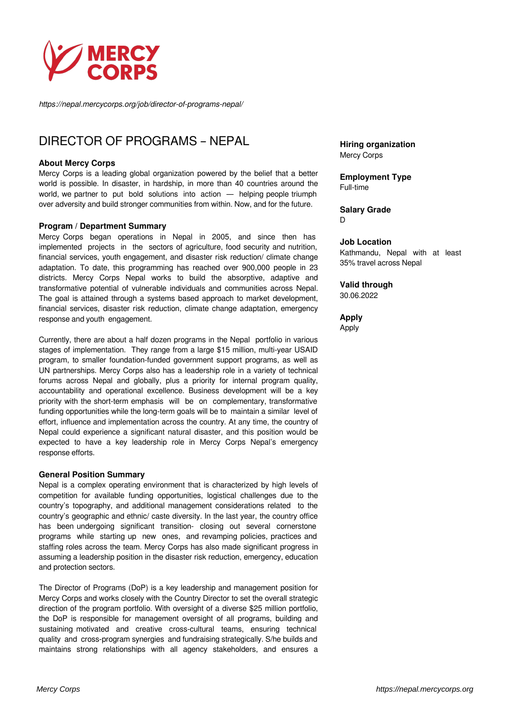

*https://nepal.mercycorps.org/job/director-of-programs-nepal/*

# DIRECTOR OF PROGRAMS – NEPAL

#### **About Mercy Corps**

Mercy Corps is a leading global organization powered by the belief that a better world is possible. In disaster, in hardship, in more than 40 countries around the world, we partner to put bold solutions into action — helping people triumph over adversity and build stronger communities from within. Now, and for the future.

#### **Program / Department Summary**

Mercy Corps began operations in Nepal in 2005, and since then has implemented projects in the sectors of agriculture, food security and nutrition, financial services, youth engagement, and disaster risk reduction/ climate change adaptation. To date, this programming has reached over 900,000 people in 23 districts. Mercy Corps Nepal works to build the absorptive, adaptive and transformative potential of vulnerable individuals and communities across Nepal. The goal is attained through a systems based approach to market development, financial services, disaster risk reduction, climate change adaptation, emergency response and youth engagement.

Currently, there are about a half dozen programs in the Nepal portfolio in various stages of implementation. They range from a large \$15 million, multi-year USAID program, to smaller foundation-funded government support programs, as well as UN partnerships. Mercy Corps also has a leadership role in a variety of technical forums across Nepal and globally, plus a priority for internal program quality, accountability and operational excellence. Business development will be a key priority with the short-term emphasis will be on complementary, transformative funding opportunities while the long-term goals will be to maintain a similar level of effort, influence and implementation across the country. At any time, the country of Nepal could experience a significant natural disaster, and this position would be expected to have a key leadership role in Mercy Corps Nepal's emergency response efforts.

# **General Position Summary**

Nepal is a complex operating environment that is characterized by high levels of competition for available funding opportunities, logistical challenges due to the country's topography, and additional management considerations related to the country's geographic and ethnic/ caste diversity. In the last year, the country office has been undergoing significant transition- closing out several cornerstone programs while starting up new ones, and revamping policies, practices and staffing roles across the team. Mercy Corps has also made significant progress in assuming a leadership position in the disaster risk reduction, emergency, education and protection sectors.

The Director of Programs (DoP) is a key leadership and management position for Mercy Corps and works closely with the Country Director to set the overall strategic direction of the program portfolio. With oversight of a diverse \$25 million portfolio, the DoP is responsible for management oversight of all programs, building and sustaining motivated and creative cross-cultural teams, ensuring technical quality and cross-program synergies and fundraising strategically. S/he builds and maintains strong relationships with all agency stakeholders, and ensures a **Hiring organization** Mercy Corps

**Employment Type** Full-time

#### **Salary Grade** D

#### **Job Location**

Kathmandu, Nepal with at least 35% travel across Nepal

#### **Valid through**

30.06.2022

**Apply** Apply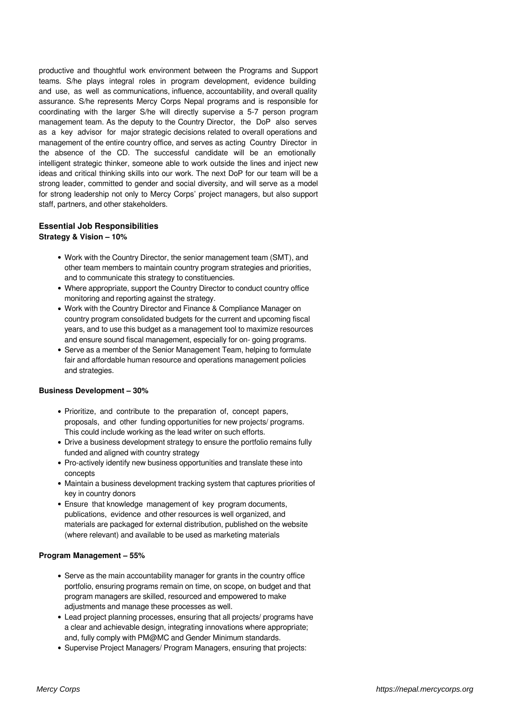productive and thoughtful work environment between the Programs and Support teams. S/he plays integral roles in program development, evidence building and use, as well as communications, influence, accountability, and overall quality assurance. S/he represents Mercy Corps Nepal programs and is responsible for coordinating with the larger S/he will directly supervise a 5-7 person program management team. As the deputy to the Country Director, the DoP also serves as a key advisor for major strategic decisions related to overall operations and management of the entire country office, and serves as acting Country Director in the absence of the CD. The successful candidate will be an emotionally intelligent strategic thinker, someone able to work outside the lines and inject new ideas and critical thinking skills into our work. The next DoP for our team will be a strong leader, committed to gender and social diversity, and will serve as a model for strong leadership not only to Mercy Corps' project managers, but also support staff, partners, and other stakeholders.

# **Essential Job Responsibilities**

# **Strategy & Vision – 10%**

- Work with the Country Director, the senior management team (SMT), and other team members to maintain country program strategies and priorities, and to communicate this strategy to constituencies.
- Where appropriate, support the Country Director to conduct country office monitoring and reporting against the strategy.
- Work with the Country Director and Finance & Compliance Manager on country program consolidated budgets for the current and upcoming fiscal years, and to use this budget as a management tool to maximize resources and ensure sound fiscal management, especially for on- going programs.
- Serve as a member of the Senior Management Team, helping to formulate fair and affordable human resource and operations management policies and strategies.

#### **Business Development – 30%**

- Prioritize, and contribute to the preparation of, concept papers, proposals, and other funding opportunities for new projects/ programs. This could include working as the lead writer on such efforts.
- Drive a business development strategy to ensure the portfolio remains fully funded and aligned with country strategy
- Pro-actively identify new business opportunities and translate these into concepts
- Maintain a business development tracking system that captures priorities of key in country donors
- Ensure that knowledge management of key program documents, publications, evidence and other resources is well organized, and materials are packaged for external distribution, published on the website (where relevant) and available to be used as marketing materials

# **Program Management – 55%**

- Serve as the main accountability manager for grants in the country office portfolio, ensuring programs remain on time, on scope, on budget and that program managers are skilled, resourced and empowered to make adjustments and manage these processes as well.
- Lead project planning processes, ensuring that all projects/ programs have a clear and achievable design, integrating innovations where appropriate; and, fully comply with PM@MC and Gender Minimum standards.
- Supervise Project Managers/ Program Managers, ensuring that projects: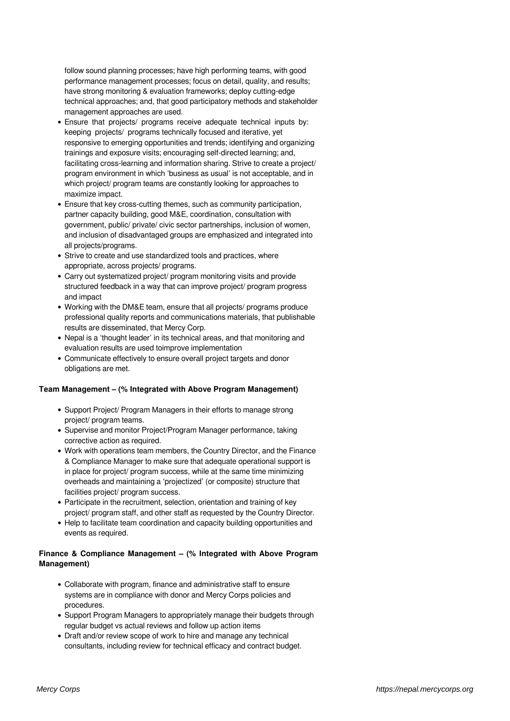follow sound planning processes; have high performing teams, with good performance management processes; focus on detail, quality, and results; have strong monitoring & evaluation frameworks; deploy cutting-edge technical approaches; and, that good participatory methods and stakeholder management approaches are used.

- Ensure that projects/ programs receive adequate technical inputs by: keeping projects/ programs technically focused and iterative, yet responsive to emerging opportunities and trends; identifying and organizing trainings and exposure visits; encouraging self-directed learning; and, facilitating cross-learning and information sharing. Strive to create a project/ program environment in which 'business as usual' is not acceptable, and in which project/ program teams are constantly looking for approaches to maximize impact.
- Ensure that key cross-cutting themes, such as community participation, partner capacity building, good M&E, coordination, consultation with government, public/ private/ civic sector partnerships, inclusion of women, and inclusion of disadvantaged groups are emphasized and integrated into all projects/programs.
- Strive to create and use standardized tools and practices, where appropriate, across projects/ programs.
- Carry out systematized project/ program monitoring visits and provide structured feedback in a way that can improve project/ program progress and impact
- Working with the DM&E team, ensure that all projects/ programs produce professional quality reports and communications materials, that publishable results are disseminated, that Mercy Corp.
- Nepal is a 'thought leader' in its technical areas, and that monitoring and evaluation results are used toimprove implementation
- Communicate effectively to ensure overall project targets and donor obligations are met.

#### **Team Management – (% Integrated with Above Program Management)**

- Support Project/ Program Managers in their efforts to manage strong project/ program teams.
- Supervise and monitor Project/Program Manager performance, taking corrective action as required.
- Work with operations team members, the Country Director, and the Finance & Compliance Manager to make sure that adequate operational support is in place for project/ program success, while at the same time minimizing overheads and maintaining a 'projectized' (or composite) structure that facilities project/ program success.
- Participate in the recruitment, selection, orientation and training of key project/ program staff, and other staff as requested by the Country Director.
- Help to facilitate team coordination and capacity building opportunities and events as required.

# **Finance & Compliance Management – (% Integrated with Above Program Management)**

- Collaborate with program, finance and administrative staff to ensure systems are in compliance with donor and Mercy Corps policies and procedures.
- Support Program Managers to appropriately manage their budgets through regular budget vs actual reviews and follow up action items
- Draft and/or review scope of work to hire and manage any technical consultants, including review for technical efficacy and contract budget.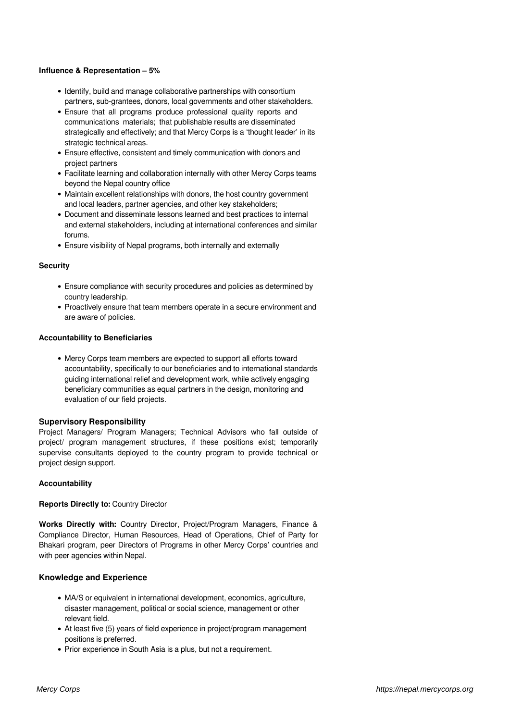#### **Influence & Representation – 5%**

- Identify, build and manage collaborative partnerships with consortium partners, sub-grantees, donors, local governments and other stakeholders.
- Ensure that all programs produce professional quality reports and communications materials; that publishable results are disseminated strategically and effectively; and that Mercy Corps is a 'thought leader' in its strategic technical areas.
- Ensure effective, consistent and timely communication with donors and project partners
- Facilitate learning and collaboration internally with other Mercy Corps teams beyond the Nepal country office
- Maintain excellent relationships with donors, the host country government and local leaders, partner agencies, and other key stakeholders;
- Document and disseminate lessons learned and best practices to internal and external stakeholders, including at international conferences and similar forums.
- Ensure visibility of Nepal programs, both internally and externally

#### **Security**

- Ensure compliance with security procedures and policies as determined by country leadership.
- Proactively ensure that team members operate in a secure environment and are aware of policies.

#### **Accountability to Beneficiaries**

Mercy Corps team members are expected to support all efforts toward accountability, specifically to our beneficiaries and to international standards guiding international relief and development work, while actively engaging beneficiary communities as equal partners in the design, monitoring and evaluation of our field projects.

#### **Supervisory Responsibility**

Project Managers/ Program Managers; Technical Advisors who fall outside of project/ program management structures, if these positions exist; temporarily supervise consultants deployed to the country program to provide technical or project design support.

#### **Accountability**

#### **Reports Directly to:** Country Director

**Works Directly with:** Country Director, Project/Program Managers, Finance & Compliance Director, Human Resources, Head of Operations, Chief of Party for Bhakari program, peer Directors of Programs in other Mercy Corps' countries and with peer agencies within Nepal.

#### **Knowledge and Experience**

- MA/S or equivalent in international development, economics, agriculture, disaster management, political or social science, management or other relevant field.
- At least five (5) years of field experience in project/program management positions is preferred.
- Prior experience in South Asia is a plus, but not a requirement.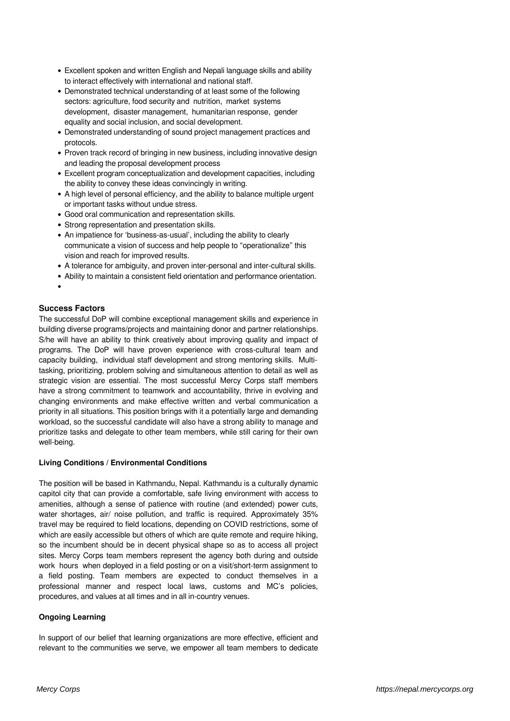- Excellent spoken and written English and Nepali language skills and ability to interact effectively with international and national staff.
- Demonstrated technical understanding of at least some of the following sectors: agriculture, food security and nutrition, market systems development, disaster management, humanitarian response, gender equality and social inclusion, and social development.
- Demonstrated understanding of sound project management practices and protocols.
- Proven track record of bringing in new business, including innovative design and leading the proposal development process
- Excellent program conceptualization and development capacities, including the ability to convey these ideas convincingly in writing.
- A high level of personal efficiency, and the ability to balance multiple urgent or important tasks without undue stress.
- Good oral communication and representation skills.
- Strong representation and presentation skills.
- An impatience for 'business-as-usual', including the ability to clearly communicate a vision of success and help people to "operationalize" this vision and reach for improved results.
- A tolerance for ambiguity, and proven inter-personal and inter-cultural skills.
- Ability to maintain a consistent field orientation and performance orientation.
- 

# **Success Factors**

The successful DoP will combine exceptional management skills and experience in building diverse programs/projects and maintaining donor and partner relationships. S/he will have an ability to think creatively about improving quality and impact of programs. The DoP will have proven experience with cross-cultural team and capacity building, individual staff development and strong mentoring skills. Multitasking, prioritizing, problem solving and simultaneous attention to detail as well as strategic vision are essential. The most successful Mercy Corps staff members have a strong commitment to teamwork and accountability, thrive in evolving and changing environments and make effective written and verbal communication a priority in all situations. This position brings with it a potentially large and demanding workload, so the successful candidate will also have a strong ability to manage and prioritize tasks and delegate to other team members, while still caring for their own well-being.

#### **Living Conditions / Environmental Conditions**

The position will be based in Kathmandu, Nepal. Kathmandu is a culturally dynamic capitol city that can provide a comfortable, safe living environment with access to amenities, although a sense of patience with routine (and extended) power cuts, water shortages, air/ noise pollution, and traffic is required. Approximately 35% travel may be required to field locations, depending on COVID restrictions, some of which are easily accessible but others of which are quite remote and require hiking, so the incumbent should be in decent physical shape so as to access all project sites. Mercy Corps team members represent the agency both during and outside work hours when deployed in a field posting or on a visit/short-term assignment to a field posting. Team members are expected to conduct themselves in a professional manner and respect local laws, customs and MC's policies, procedures, and values at all times and in all in-country venues.

#### **Ongoing Learning**

In support of our belief that learning organizations are more effective, efficient and relevant to the communities we serve, we empower all team members to dedicate